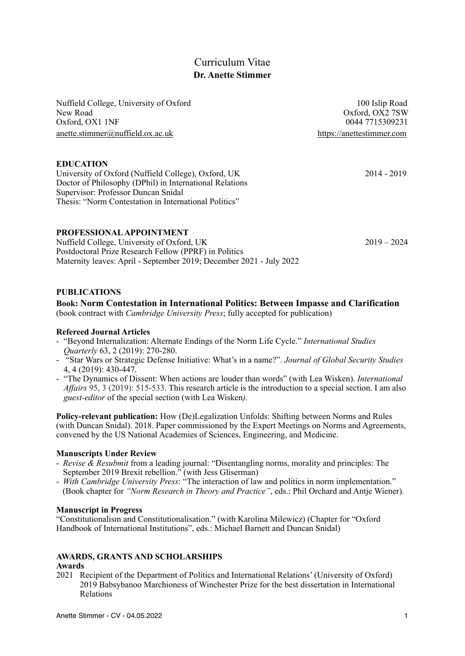# Curriculum Vitae **Dr. Anette Stimmer**

Nuffield College, University of Oxford 100 Islip Road 100 Islip Road New Road Oxford, OX2 7SW Oxford, OX1 1NF 0044 7715309231 [anette.stimmer@nuffield.ox.ac.uk](mailto:anette.stimmer@nuffield.ox.ac.uk) <https://anettestimmer.com>

# **EDUCATION**

University of Oxford (Nuffield College), Oxford, UK 2014 - 2019 Doctor of Philosophy (DPhil) in International Relations Supervisor: Professor Duncan Snidal Thesis: "Norm Contestation in International Politics"

**PROFESSIONAL APPOINTMENT**

Nuffield College, University of Oxford, UK 2019 – 2024 Postdoctoral Prize Research Fellow (PPRF) in Politics Maternity leaves: April - September 2019; December 2021 - July 2022

# **PUBLICATIONS**

### **Book: Norm Contestation in International Politics: Between Impasse and Clarification**

(book contract with *Cambridge University Press*; fully accepted for publication)

#### **Refereed Journal Articles**

- "Beyond Internalization: Alternate Endings of the Norm Life Cycle." *International Studies Quarterly* 63, 2 (2019): 270-280.
- "Star Wars or Strategic Defense Initiative: What's in a name?". *Journal of Global Security Studies*  4, 4 (2019): 430-447.
- "The Dynamics of Dissent: When actions are louder than words" (with Lea Wisken). *International Affairs* 95, 3 (2019): 515-533. This research article is the introduction to a special section. I am also *guest-editor* of the special section (with Lea Wisken*).*

**Policy-relevant publication:** How (De)Legalization Unfolds: Shifting between Norms and Rules (with Duncan Snidal). 2018. Paper commissioned by the Expert Meetings on Norms and Agreements, convened by the US National Academies of Sciences, Engineering, and Medicine.

#### **Manuscripts Under Review**

- *Revise & Resubmit* from a leading journal: "Disentangling norms, morality and principles: The September 2019 Brexit rebellion." (with Jess Gliserman)
- *With Cambridge University Press*: "The interaction of law and politics in norm implementation." (Book chapter for *"Norm Research in Theory and Practice"*, eds.: Phil Orchard and Antje Wiener)*.*

### **Manuscript in Progress**

"Constitutionalism and Constitutionalisation." (with Karolina Milewicz) (Chapter for "Oxford Handbook of International Institutions", eds.: Michael Barnett and Duncan Snidal)

### **AWARDS, GRANTS AND SCHOLARSHIPS**

#### **Awards**

2021 Recipient of the Department of Politics and International Relations' (University of Oxford) 2019 Babsybanoo Marchioness of Winchester Prize for the best dissertation in International Relations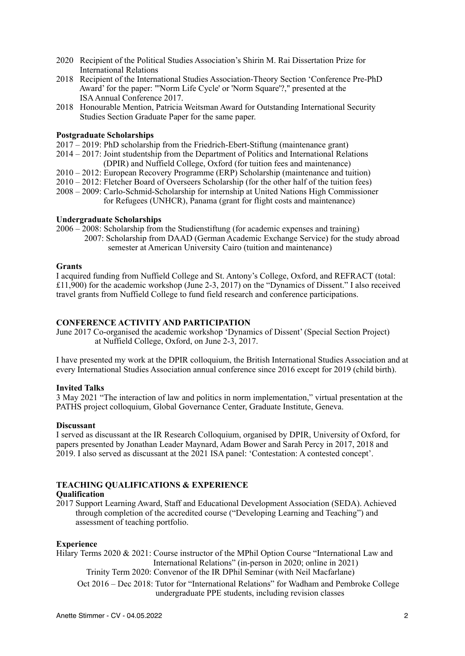- 2020 Recipient of the Political Studies Association's Shirin M. Rai Dissertation Prize for International Relations
- 2018 Recipient of the International Studies Association-Theory Section 'Conference Pre-PhD Award' for the paper: "'Norm Life Cycle' or 'Norm Square'?," presented at the ISA Annual Conference 2017.
- 2018 Honourable Mention, Patricia Weitsman Award for Outstanding International Security Studies Section Graduate Paper for the same paper.

### **Postgraduate Scholarships**

- 2017 2019: PhD scholarship from the Friedrich-Ebert-Stiftung (maintenance grant)
- 2014 2017: Joint studentship from the Department of Politics and International Relations (DPIR) and Nuffield College, Oxford (for tuition fees and maintenance)
- 2010 2012: European Recovery Programme (ERP) Scholarship (maintenance and tuition)
- 2010 2012: Fletcher Board of Overseers Scholarship (for the other half of the tuition fees)
- 2008 2009: Carlo-Schmid-Scholarship for internship at United Nations High Commissioner for Refugees (UNHCR), Panama (grant for flight costs and maintenance)

### **Undergraduate Scholarships**

2006 – 2008: Scholarship from the Studienstiftung (for academic expenses and training)

2007: Scholarship from DAAD (German Academic Exchange Service) for the study abroad semester at American University Cairo (tuition and maintenance)

### **Grants**

I acquired funding from Nuffield College and St. Antony's College, Oxford, and REFRACT (total: £11,900) for the academic workshop (June 2-3, 2017) on the "Dynamics of Dissent." I also received travel grants from Nuffield College to fund field research and conference participations.

### **CONFERENCE ACTIVITY AND PARTICIPATION**

June 2017 Co-organised the academic workshop 'Dynamics of Dissent' (Special Section Project) at Nuffield College, Oxford, on June 2-3, 2017.

I have presented my work at the DPIR colloquium, the British International Studies Association and at every International Studies Association annual conference since 2016 except for 2019 (child birth).

### **Invited Talks**

3 May 2021 "The interaction of law and politics in norm implementation," virtual presentation at the PATHS project colloquium, Global Governance Center, Graduate Institute, Geneva.

### **Discussant**

I served as discussant at the IR Research Colloquium, organised by DPIR, University of Oxford, for papers presented by Jonathan Leader Maynard, Adam Bower and Sarah Percy in 2017, 2018 and 2019. I also served as discussant at the 2021 ISA panel: 'Contestation: A contested concept'.

### **TEACHING QUALIFICATIONS & EXPERIENCE**

### **Qualification**

2017 Support Learning Award, Staff and Educational Development Association (SEDA). Achieved through completion of the accredited course ("Developing Learning and Teaching") and assessment of teaching portfolio.

### **Experience**

Hilary Terms 2020 & 2021: Course instructor of the MPhil Option Course "International Law and International Relations" (in-person in 2020; online in 2021) Trinity Term 2020: Convenor of the IR DPhil Seminar (with Neil Macfarlane) Oct 2016 – Dec 2018: Tutor for "International Relations" for Wadham and Pembroke College